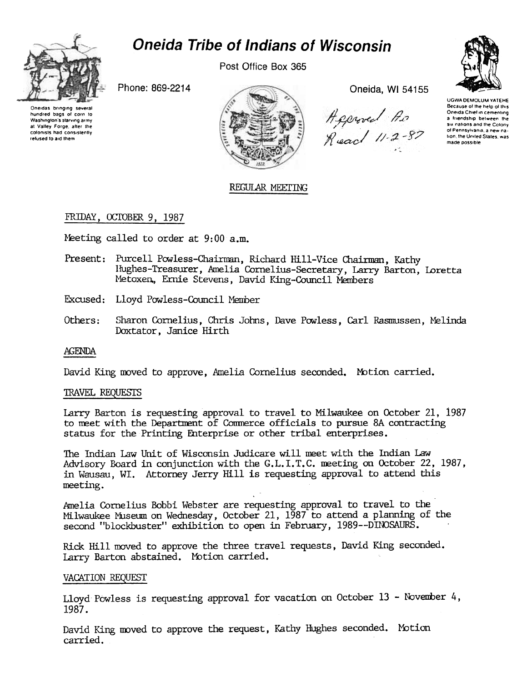

# **Oneida Tribe of Indians of Wisconsin**

Post Office Box 365

Phone: 869-2214





Oneida, WI 54155

Agerved As<br>Read 11-2-87



**UGWA DEMOLUM YATEHE** Because of the help of this<br>Oneida Chief in cementing a friendship between the six nations and the Colony of Pennsylvania, a new nation, the United States, was made possible

# REGULAR MEETING

# FRIDAY, OCTOBER 9, 1987

Meeting called to order at 9:00 a.m.

- Present: Purcell Powless-Chairman, Richard Hill-Vice Chairman, Kathy Hughes-Treasurer, Amelia Cornelius-Secretary, Larry Barton, Loretta Metoxen, Ernie Stevens, David King-Council Members
- Excused: Lloyd Powless-Council Member
- Others: Sharon Cornelius, Chris Johns, Dave Powless, Carl Rasmussen, Melinda Doxtator, Janice Hirth

## **AGENDA**

David King moved to approve, Amelia Cornelius seconded. Motion carried.

## TRAVEL REQUESTS

Larry Barton is requesting approval to travel to Milwaukee on October 21, 1987 to meet with the Department of Commerce officials to pursue 8A contracting status for the Printing Enterprise or other tribal enterprises.

The Indian Law Unit of Wisconsin Judicare will meet with the Indian Law Advisory Board in conjunction with the G.L.I.T.C. meeting on October 22, 1987, in Wausau, WI. Attorney Jerry Hill is requesting approval to attend this meeting.

Amelia Cornelius Bobbi Webster are requesting approval to travel to the Milwaukee Museum on Wednesday, October 21, 1987 to attend a planning of the second "blockbuster" exhibition to open in February, 1989--DINOSAURS.

Rick Hill moved to approve the three travel requests, David King seconded. Larry Barton abstained. Motion carried.

## VACATION REOUEST

Lloyd Powless is requesting approval for vacation on October 13 - November 4, 1987.

David King moved to approve the request, Kathy Hughes seconded. Motion carried.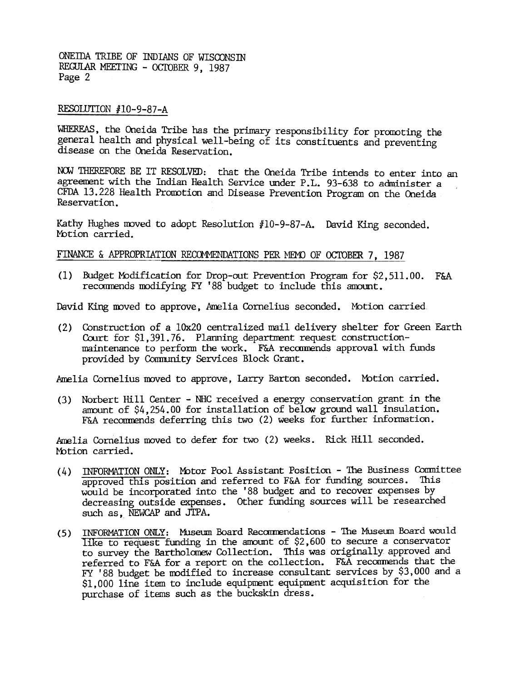ONEIDA TRIBE OF INDIANS OF WISCONSIN REGULAR MEETING - OCTOBER 9, 1987 Page 2

## RESOLUTION #10-9-87-A

WHEREAS, the Oneida Tribe has the primary responsibility for promoting the general health and physical well-being of its constituents and preventing disease on the Oneida Reservation.

NOW THEREFORE BE IT RESOLVED: that the Oneida Tribe intends to enter into an agreement with the Indian Health Service under P.L. 93-638 to administer a CFDA 13.228 Health Promotion and Disease Prevention Program on the Oneida Reservation.

Kathy Hughes moved to adopt Resolution #lO-9-87-A. David King seconded. Motion carried.

## FINANCE & APPROPRIATION RECOMMENDATIONS PER MEMO OF OCTOBER 7, 1987

(1) Budget Modification for Drop-out Prevention Program for \$2,511.00. F&A recommends modifying FY '88 budget to include this amount.

David King moved to approve, Amelia Cornelius seconded. Motion carried.

(2) Construction of a lOx20 centralized nail delivery shelter for Green Earth Court for \$1,391.76. Planning department request constructionmaintenance to perform the work. F&A recommends approval with funds provided by Community Services Block Grant.

Amelia Cornelius moved to approve, Larry Barton seconded. Motion carried.

Norbert Hill Center -NHC received a energy conservation grant in the (3) amount of \$4,254. 00 for installation of below ground wall insulation. F&A recommends deferring this two (2) weeks for further information.

Amelia Cornelius moved to defer for two (2) weeks. Rick Hill seconded. Motion carried.

- (4) INFORMATION ONLY: Motor Pool Assistant Position The Business Committee approved this position and referred to F&A for funding sources. This would be incorporated into the '88 budget and to recover expenses by decreasing outside expenses. Other funding sources will be researched such as, NEWCAP and JTPA.
- (5) INFORMATION ONLY: Museum Board Recommendations The Museum Board would like to request funding in the amount of  $$2,600$  to secure a conservator to survey the Bartholomew Collection. This was originally approved and referred to F&A for a report on the collection. F&A recommends that the FY '88 budget be modified to increase consultant services by \$3,000 and a \$1,000 line item to include equipment equipment acquisition for the purchase of items such as the buckskin dress.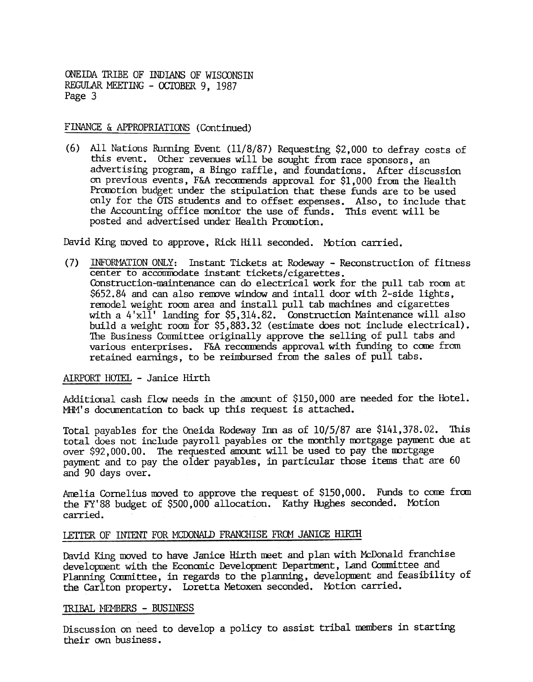ONEIDA TRIBE OF INDIANS OF WISCONSIN REGULAR MEETING - OCTOBER 9, 1987 Page 3

## FINANCE & APPROPRIATIONS (Continued)

(6) All Nations Running Event (11/8/87) Requesting \$2,000 to defray costs of this event. Other revenues will be sought from race sponsors, an advertising program, a Bingo raffle, and foundations. After discussion on previous events, F&A recoonends approval for \$1,000 from the Health Promotion budget under the stipulation that these funds are to be used only for the OTS students and to offset expenses. Also, to include that the Accounting office monitor the use of funds. This event will be posted and advertised under Health Promotion.

David King moved to approve. Rick Hill seconded. Motion carried.

(7) INFORMATION ONLY: Instant Tickets at Rodeway - Reconstruction of fitness center to accommodate instant tickets/cigarettes. Construction-maintenance can do electrical work for the pull tab room at \$652.84 and can also remove window and intall door with 2-side lights, remodel weight room area and install pull tab madhines and cigarettes with a  $4'x1\tilde{1}'$  landing for \$5,314.82. Construction Maintenance will also build a weight room for  $$5,883.32$  (estimate does not include electrical). The Business Committee originally approve the selling of pull tabs and various enterprises. F&A recommends approval with funding to come from retained earnings, to be reimbursed from the sales of pull tabs.

### AIRPORT HOTEL - Janice Hirth

Additional cash flow needs in the amount of \$150,000 are needed for the Hotel. MHM's documentation to back up this request is attached.

Total payables for the Oneida Rodeway Inn as of 10/5/87 are \$141,378.02. This total does not include payroll payables or the monthly mortgage payment due at over \$92,000.00. The requested amount will be used to pay the mortgage payment and to pay the older payables, in particular those items that are 60 and 90 days over.

Amelia Cornelius moved to approve the request of \$150,000. Funds to come from the FY'88 budget of \$500,000 allocation. Kathy Hughes seconded. Motion carried.

#### LETTER OF INTENT FOR MCDONALD FRANCHISE FROM JANICE HIRTH

David King moved to have Janice Hirth meet and plan with McDonald franchise development with the Economic Development Department, Land Committee and Planning Carmittee, in regards to the planning, developuent and feasibility of the Carlton property. Loretta Metoxen seconded. Mbtion carried.

## TRIBAL MEMBERS - BUSINESS

Discussion on need to develop a policy to assist tribal members in starting their own business.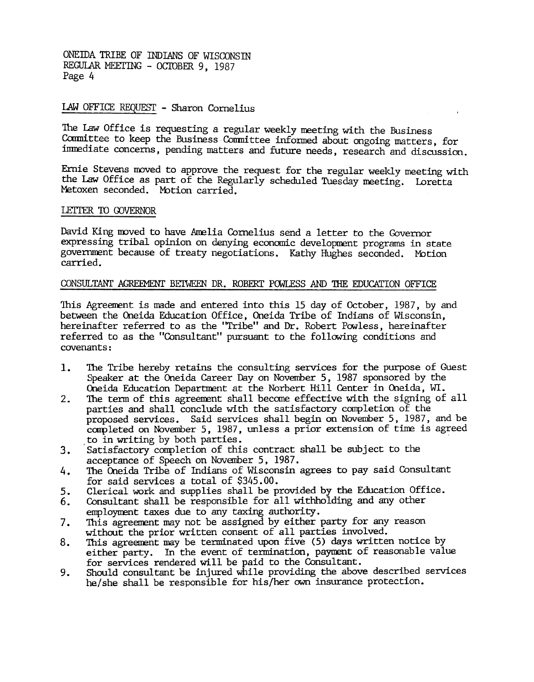ONEillA TRIBE OF mDIANS OF WISCONSIN REGULAR MEETING - OCTOBER 9, 1987 Page 4

## LAW OFFICE REQUEST - Sharon Cornelius

The Law Office is requesting a regular weekly meeting with the Business Committee to keep the Business Committee informed about ongoing matters, for immediate concerns, pending matters and future needs, research and discussion.

Ernie Stevens moved to approve the request for the regular weekly meeting with the Law Office as part of the Regularly scheduled Tuesday meeting. Loretta Metoxen seconded. Motion carried.

### LETTER TO GOVERNOR

David King moved to have Amelia Cornelius send a letter to the Governor expressing tribal opinion on denying economic development programs in state government because of treaty negotiations. Kathy Hughes seconded. Mbtion carried.

### CONSULTANT AGREEMENT BETWEEN DR. ROBERT POWLESS AND THE EDUCATION OFFICE

This Agreement is made and entered into this 15 day of October, 1987, by and between the Oneida Education Office, Oneida Tribe of Indians of Wisconsin, hereinafter referred to as the "Tribe" and Dr. Robert Powless, hereinafter referred to as the "Consultant" pursuant to the following conditions and covenants:

- The Tribe hereby retains the consulting services for the purpose of Guest 1. Speaker at the Oneida Career Day on November 5, 1987 sponsored by the Oneida Education Department at the Norbert Hill Center in Oneida, WI.
- The term of this agreement shall become effective with the signing of all  $2.$ parties and shall conclude with the satisfactory completion of the proposed services. Said services shall begin on November 5, 1987, and be completed on November 5, 1987, unless a prior extension of time is agreed to in writing by both parties.
- 3. Satisfactory completion of this contract shall be subject to the acceptance of Speech on November 5,1987.
- 4. The Coneida Tribe of Indians of Wisconsin agrees to pay said Consultant for said services a total of \$345.00.
- 5. Clerical work and supplies shall be provided by the Education Office.
- 6. Consultant shall be responsible for all withholding and any other employment taxes due to any taxing authority.
- 7. This agreement may not be assigned by either party for any reason without the prior written consent of all parties involved.
- 8. This agreement may be terminated upon five (5) days written notice by either party. In the event of termination, paynent of reasonable value for services rendered will be paid to the Consultant.
- Should consultant be injured while providing the above described services 9. he/she shall be responsible for his/her own insurance protection.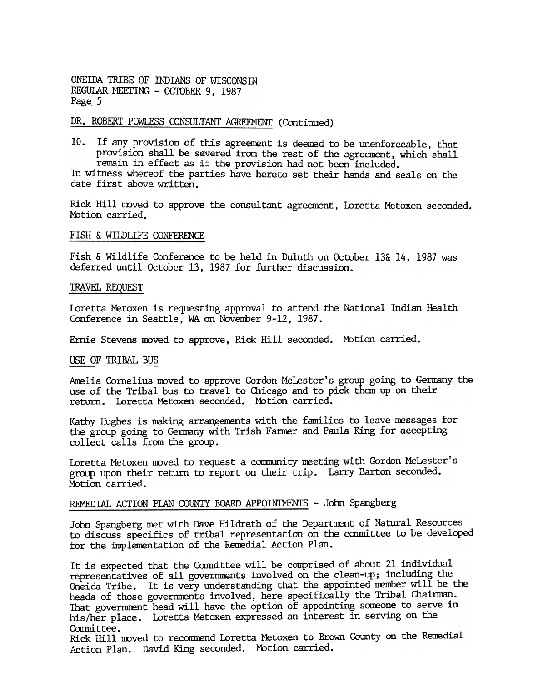ONEIDA TRIBE OF INDIANS OF WISCONSIN REGULAR MEETING - OCTOBER 9, 1987 Page. 5

# DR. ROBERT POWLESS CONSULTANT AGREEMENT (Continued)

10. If any provision of this agreement is deemed to be unenforceable, that provision shall be severed from the rest of the agreement, which shall remain in effect as if the provision had not been included.

In witness whereof the parties have hereto set their hands and seals on the date first above written.

Rick Hill moved to approve the consultant agreement, Loretta Metoxen seconded. Motion carried.

## FISH & WilDLIFE CONFERENCE

Fish & Wildlife Conference to be held in Duluth on October 13& 14, 1987 was deferred until October 13, 1987 for further discussion.

## **TRAVEL REQUEST**

Loretta Metoxen is requesting approval to attend the National Indian Health Conference in Seattle, WA on November 9-12, 1987.

Ernie Stevens moved to approve, Rick Hill seconded. Motion carried.

## USE OF TRIBAL BUS

Amelia Cornelius moved to approve Gordon McLester's group going to Germany the use of the Tribal bus to travel to Chicago and to pick them up on their return. Loretta Metoxen seconded. Mbtion carried.

Kathy Hughes is making arrangements with the families to leave messages for the group going to Germany with Trish Farmer and Paula King for accepting collect calls from the group.

Loretta Metoxen moved to request a community meeting with Gordon McLester's group upon their return to report on their trip. Larry Barton seconded. Motion carried.

# REMEDIAL ACTION PLAN COUNTY BOARD APPOINIMENTS - John Spangberg

John Spangberg met with Dave Hildreth of the Departnent of Natural Resources to discuss specifics of tribal representation on the committee to be developed for the implarentation of the Renedial Action Plan.

It is expected that the Committee will be comprised of about 21 individual representatives of all governments involved on the clean-up; including the Oneida Tribe. It is very understanding that the appointed nember will be the heads of those governments involved, here specifically the Tribal Chairman. That government head will have the option of appointing someone to serve in his{her place. Loretta Metoxen expressed an interest in serving on the Committee.

Rick Hill moved to recommend Loretta Metoxen to Brown County on the Remedial Action Plan. David King seconded. Motion carried.